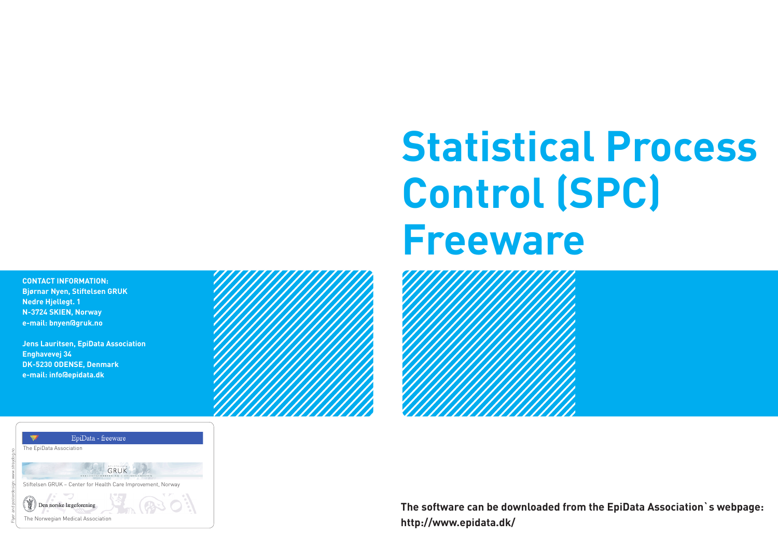**Contact information: Bjørnar Nyen, Stiftelsen GRUK Nedre Hjellegt. 1 N-3724 SKIEN, Norway e-mail: bnyen@gruk.no**

**Jens Lauritsen, EpiData Association Enghavevej 34 DK-5230 ODENSE, Denmark e-mail: info@epidata.dk**



## **Statistical Process Control (SPC) Freeware**



**The software can be downloaded from the EpiData Association`s webpage: http://www.epidata.dk/**